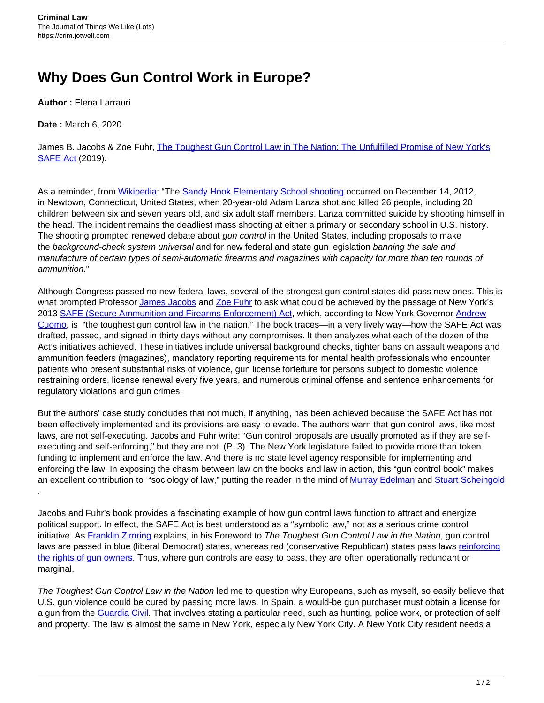## **Why Does Gun Control Work in Europe?**

**Author :** Elena Larrauri

**Date :** March 6, 2020

James B. Jacobs & Zoe Fuhr, [The Toughest Gun Control Law in The Nation: The Unfulfilled Promise of New York's](https://nyupress.org/9781479835614/the-toughest-gun-control-law-in-the-nation/) [SAFE Act](https://nyupress.org/9781479835614/the-toughest-gun-control-law-in-the-nation/) (2019).

As a reminder, from [Wikipedia](https://www.wikipedia.org): "The [Sandy Hook Elementary School shooting](https://en.wikipedia.org/wiki/Sandy_Hook_Elementary_School_shooting) occurred on December 14, 2012, in Newtown, Connecticut, United States, when 20-year-old Adam Lanza shot and killed 26 people, including 20 children between six and seven years old, and six adult staff members. Lanza committed suicide by shooting himself in the head. The incident remains the deadliest mass shooting at either a primary or secondary school in U.S. history. The shooting prompted renewed debate about *gun control* in the United States, including proposals to make the background-check system universal and for new federal and state gun legislation banning the sale and manufacture of certain types of semi-automatic firearms and magazines with capacity for more than ten rounds of ammunition."

Although Congress passed no new federal laws, several of the strongest gun-control states did pass new ones. This is what prompted Professor [James Jacobs](https://its.law.nyu.edu/facultyprofiles/index.cfm?fuseaction=profile.overview&personid=20016) and [Zoe Fuhr](https://www.combinedacademic.co.uk/zoe-fuhr) to ask what could be achieved by the passage of New York's 2013 [SAFE \(Secure Ammunition and Firearms Enforcement\) Act,](https://safeact.ny.gov) which, according to New York Governor [Andrew](https://www.governor.ny.gov/about) [Cuomo,](https://www.governor.ny.gov/about) is "the toughest gun control law in the nation." The book traces—in a very lively way—how the SAFE Act was drafted, passed, and signed in thirty days without any compromises. It then analyzes what each of the dozen of the Act's initiatives achieved. These initiatives include universal background checks, tighter bans on assault weapons and ammunition feeders (magazines), mandatory reporting requirements for mental health professionals who encounter patients who present substantial risks of violence, gun license forfeiture for persons subject to domestic violence restraining orders, license renewal every five years, and numerous criminal offense and sentence enhancements for regulatory violations and gun crimes.

But the authors' case study concludes that not much, if anything, has been achieved because the SAFE Act has not been effectively implemented and its provisions are easy to evade. The authors warn that gun control laws, like most laws, are not self-executing. Jacobs and Fuhr write: "Gun control proposals are usually promoted as if they are selfexecuting and self-enforcing," but they are not. (P. 3). The New York legislature failed to provide more than token funding to implement and enforce the law. And there is no state level agency responsible for implementing and enforcing the law. In exposing the chasm between law on the books and law in action, this "gun control book" makes an excellent contribution to "sociology of law," putting the reader in the mind of [Murray Edelman](https://www.press.uillinois.edu/books/catalog/72shy2en9780252012020.html) and [Stuart Scheingold](https://www.press.umich.edu/6766/politics_of_rights) .

Jacobs and Fuhr's book provides a fascinating example of how gun control laws function to attract and energize political support. In effect, the SAFE Act is best understood as a "symbolic law," not as a serious crime control initiative. As [Franklin Zimring](https://www.law.berkeley.edu/our-faculty/faculty-profiles/franklin-zimring/) explains, in his Foreword to The Toughest Gun Control Law in the Nation, gun control laws are passed in blue (liberal Democrat) states, whereas red (conservative Republican) states pass laws [reinforcing](https://news.stanford.edu/2017/06/21/violent-crime-increases-right-carry-states/) [the rights of gun owners](https://news.stanford.edu/2017/06/21/violent-crime-increases-right-carry-states/). Thus, where gun controls are easy to pass, they are often operationally redundant or marginal.

The Toughest Gun Control Law in the Nation led me to question why Europeans, such as myself, so easily believe that U.S. gun violence could be cured by passing more laws. In Spain, a would-be gun purchaser must obtain a license for a gun from the [Guardia Civil](https://www.guardiacivil.es/en/). That involves stating a particular need, such as hunting, police work, or protection of self and property. The law is almost the same in New York, especially New York City. A New York City resident needs a